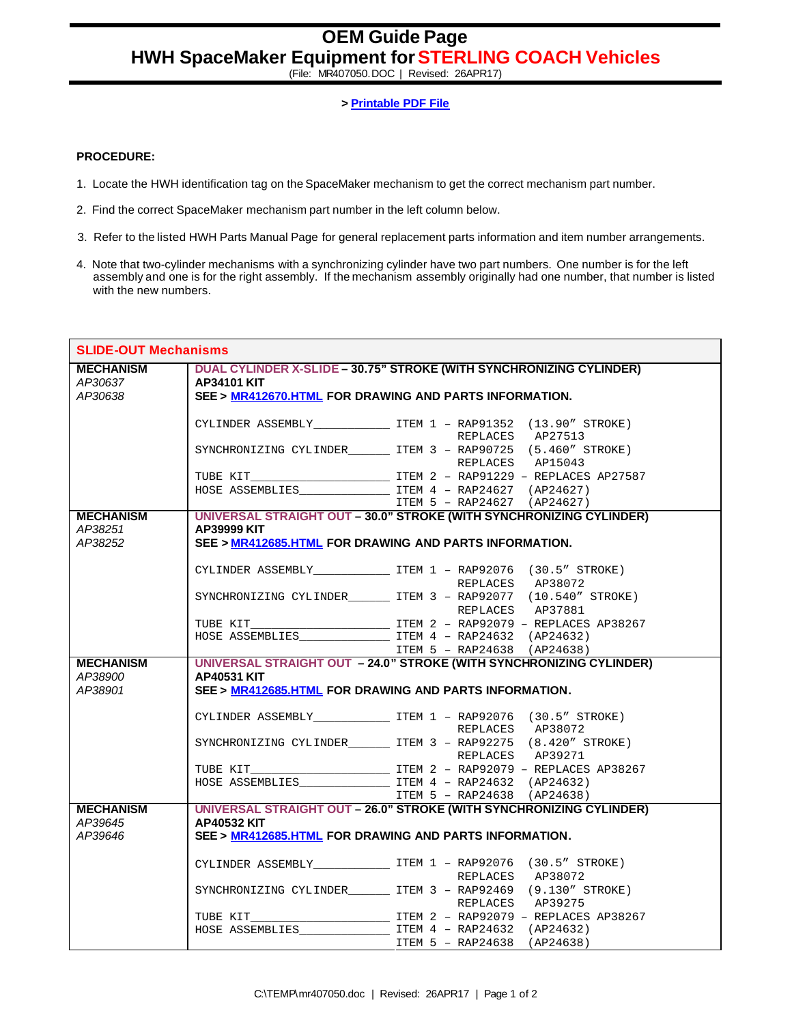## **OEM Guide Page HWH SpaceMaker Equipment for STERLING COACH Vehicles**

(File: MR407050.DOC | Revised: 26APR17)

**> Printable PDF File**

## **PROCEDURE:**

- 1. Locate the HWH identification tag on the SpaceMaker mechanism to get the correct mechanism part number.
- 2. Find the correct SpaceMaker mechanism part number in the left column below.
- 3. Refer to the listed HWH Parts Manual Page for general replacement parts information and item number arrangements.
- 4. Note that two-cylinder mechanisms with a synchronizing cylinder have two part numbers. One number is for the left assembly and one is for the right assembly. If the mechanism assembly originally had one number, that number is listed with the new numbers.

| <b>SLIDE-OUT Mechanisms</b> |                                                        |                                                                               |  |
|-----------------------------|--------------------------------------------------------|-------------------------------------------------------------------------------|--|
| <b>MECHANISM</b>            |                                                        | DUAL CYLINDER X-SLIDE - 30.75" STROKE (WITH SYNCHRONIZING CYLINDER)           |  |
| AP30637                     | <b>AP34101 KIT</b>                                     |                                                                               |  |
| AP30638                     | SEE > MR412670.HTML FOR DRAWING AND PARTS INFORMATION. |                                                                               |  |
|                             |                                                        |                                                                               |  |
|                             |                                                        | CYLINDER ASSEMBLY________________ ITEM 1 - RAP91352 (13.90" STROKE)           |  |
|                             |                                                        | REPLACES AP27513                                                              |  |
|                             |                                                        | SYNCHRONIZING CYLINDER ITEM 3 - RAP90725 (5.460" STROKE)                      |  |
|                             |                                                        | REPLACES AP15043                                                              |  |
|                             |                                                        |                                                                               |  |
|                             |                                                        | HOSE ASSEMBLIES $ITEM 4 - RAP24627 (AP24627)$                                 |  |
|                             |                                                        | ITEM 5 - RAP24627 (AP24627)                                                   |  |
| <b>MECHANISM</b>            |                                                        | UNIVERSAL STRAIGHT OUT - 30.0" STROKE (WITH SYNCHRONIZING CYLINDER)           |  |
| AP38251                     | AP39999 KIT                                            |                                                                               |  |
| AP38252                     | SEE > MR412685.HTML FOR DRAWING AND PARTS INFORMATION. |                                                                               |  |
|                             |                                                        |                                                                               |  |
|                             |                                                        | CYLINDER ASSEMBLY______________________ ITEM 1 - RAP92076 (30.5" STROKE)      |  |
|                             |                                                        | REPLACES AP38072<br>SYNCHRONIZING CYLINDER ITEM 3 - RAP92077 (10.540" STROKE) |  |
|                             |                                                        | REPLACES AP37881                                                              |  |
|                             |                                                        |                                                                               |  |
|                             |                                                        |                                                                               |  |
|                             |                                                        | ITEM 5 - RAP24638 (AP24638)                                                   |  |
| <b>MECHANISM</b>            |                                                        | UNIVERSAL STRAIGHT OUT - 24.0" STROKE (WITH SYNCHRONIZING CYLINDER)           |  |
| AP38900                     | <b>AP40531 KIT</b>                                     |                                                                               |  |
| AP38901                     | SEE > MR412685.HTML FOR DRAWING AND PARTS INFORMATION. |                                                                               |  |
|                             |                                                        |                                                                               |  |
|                             |                                                        |                                                                               |  |
|                             |                                                        | REPLACES AP38072                                                              |  |
|                             |                                                        | SYNCHRONIZING CYLINDER_________ ITEM 3 - RAP92275 (8.420" STROKE)             |  |
|                             |                                                        | REPLACES AP39271                                                              |  |
|                             |                                                        |                                                                               |  |
|                             |                                                        |                                                                               |  |
|                             |                                                        | ITEM 5 - RAP24638 (AP24638)                                                   |  |
| <b>MECHANISM</b>            |                                                        | UNIVERSAL STRAIGHT OUT - 26.0" STROKE (WITH SYNCHRONIZING CYLINDER)           |  |
| AP39645                     | <b>AP40532 KIT</b>                                     |                                                                               |  |
| AP39646                     | SEE > MR412685.HTML FOR DRAWING AND PARTS INFORMATION. |                                                                               |  |
|                             |                                                        |                                                                               |  |
|                             |                                                        | CYLINDER ASSEMBLY TTEM 1 - RAP92076 (30.5" STROKE)                            |  |
|                             |                                                        | REPLACES AP38072                                                              |  |
|                             |                                                        | SYNCHRONIZING CYLINDER TEM 3 - RAP92469 (9.130" STROKE)                       |  |
|                             |                                                        | REPLACES AP39275                                                              |  |
|                             |                                                        |                                                                               |  |
|                             |                                                        |                                                                               |  |
|                             |                                                        | ITEM 5 - RAP24638 (AP24638)                                                   |  |